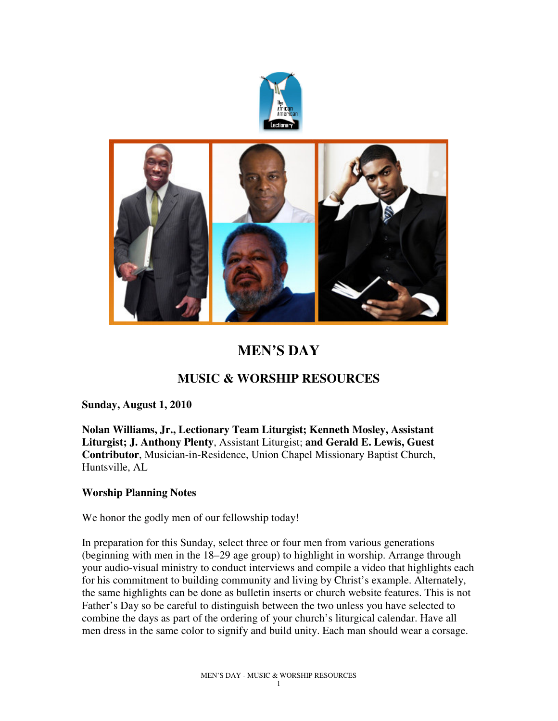



# **MEN'S DAY**

## **MUSIC & WORSHIP RESOURCES**

## **Sunday, August 1, 2010**

**Nolan Williams, Jr., Lectionary Team Liturgist; Kenneth Mosley, Assistant Liturgist; J. Anthony Plenty**, Assistant Liturgist; **and Gerald E. Lewis, Guest Contributor**, Musician-in-Residence, Union Chapel Missionary Baptist Church, Huntsville, AL

## **Worship Planning Notes**

We honor the godly men of our fellowship today!

In preparation for this Sunday, select three or four men from various generations (beginning with men in the 18–29 age group) to highlight in worship. Arrange through your audio-visual ministry to conduct interviews and compile a video that highlights each for his commitment to building community and living by Christ's example. Alternately, the same highlights can be done as bulletin inserts or church website features. This is not Father's Day so be careful to distinguish between the two unless you have selected to combine the days as part of the ordering of your church's liturgical calendar. Have all men dress in the same color to signify and build unity. Each man should wear a corsage.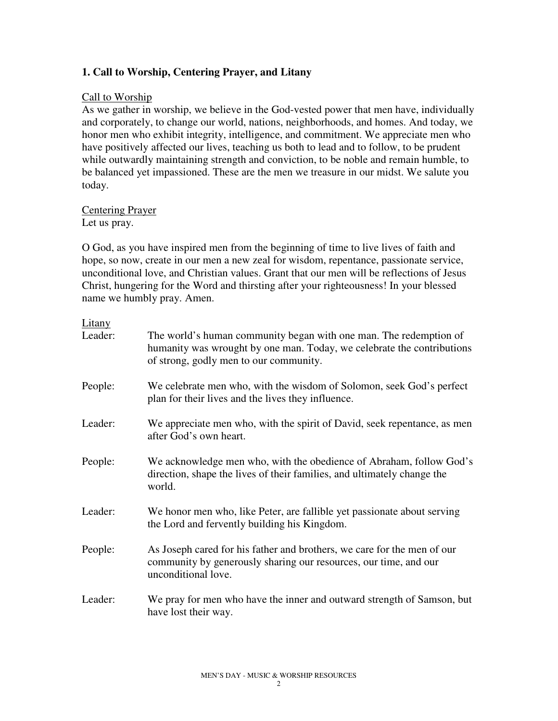## **1. Call to Worship, Centering Prayer, and Litany**

### Call to Worship

As we gather in worship, we believe in the God-vested power that men have, individually and corporately, to change our world, nations, neighborhoods, and homes. And today, we honor men who exhibit integrity, intelligence, and commitment. We appreciate men who have positively affected our lives, teaching us both to lead and to follow, to be prudent while outwardly maintaining strength and conviction, to be noble and remain humble, to be balanced yet impassioned. These are the men we treasure in our midst. We salute you today.

#### Centering Prayer Let us pray.

O God, as you have inspired men from the beginning of time to live lives of faith and hope, so now, create in our men a new zeal for wisdom, repentance, passionate service, unconditional love, and Christian values. Grant that our men will be reflections of Jesus Christ, hungering for the Word and thirsting after your righteousness! In your blessed name we humbly pray. Amen.

#### Litany

| Leader: | The world's human community began with one man. The redemption of<br>humanity was wrought by one man. Today, we celebrate the contributions<br>of strong, godly men to our community. |
|---------|---------------------------------------------------------------------------------------------------------------------------------------------------------------------------------------|
| People: | We celebrate men who, with the wisdom of Solomon, seek God's perfect<br>plan for their lives and the lives they influence.                                                            |
| Leader: | We appreciate men who, with the spirit of David, seek repentance, as men<br>after God's own heart.                                                                                    |
| People: | We acknowledge men who, with the obedience of Abraham, follow God's<br>direction, shape the lives of their families, and ultimately change the<br>world.                              |
| Leader: | We honor men who, like Peter, are fallible yet passionate about serving<br>the Lord and fervently building his Kingdom.                                                               |
| People: | As Joseph cared for his father and brothers, we care for the men of our<br>community by generously sharing our resources, our time, and our<br>unconditional love.                    |
| Leader: | We pray for men who have the inner and outward strength of Samson, but<br>have lost their way.                                                                                        |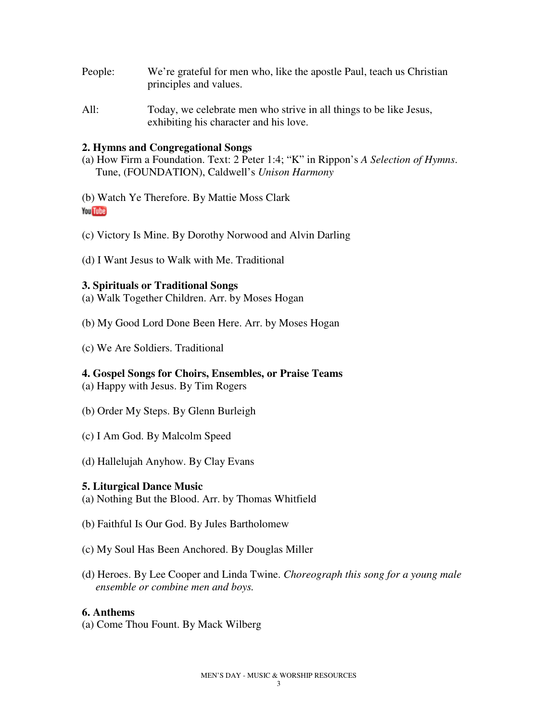- People: We're grateful for men who, like the apostle Paul, teach us Christian principles and values.
- All: Today, we celebrate men who strive in all things to be like Jesus, exhibiting his character and his love.

#### **2. Hymns and Congregational Songs**

(a) How Firm a Foundation. Text: 2 Peter 1:4; "K" in Rippon's *A Selection of Hymns*. Tune, (FOUNDATION), Caldwell's *Unison Harmony*

(b) Watch Ye Therefore. By Mattie Moss Clark You Tube

- (c) Victory Is Mine. By Dorothy Norwood and Alvin Darling
- (d) I Want Jesus to Walk with Me. Traditional

#### **3. Spirituals or Traditional Songs**

- (a) Walk Together Children. Arr. by Moses Hogan
- (b) My Good Lord Done Been Here. Arr. by Moses Hogan
- (c) We Are Soldiers. Traditional

## **4. Gospel Songs for Choirs, Ensembles, or Praise Teams**

(a) Happy with Jesus. By Tim Rogers

- (b) Order My Steps. By Glenn Burleigh
- (c) I Am God. By Malcolm Speed
- (d) Hallelujah Anyhow. By Clay Evans

#### **5. Liturgical Dance Music**

(a) Nothing But the Blood. Arr. by Thomas Whitfield

- (b) Faithful Is Our God. By Jules Bartholomew
- (c) My Soul Has Been Anchored. By Douglas Miller
- (d) Heroes. By Lee Cooper and Linda Twine. *Choreograph this song for a young male ensemble or combine men and boys.*

#### **6. Anthems**

(a) Come Thou Fount. By Mack Wilberg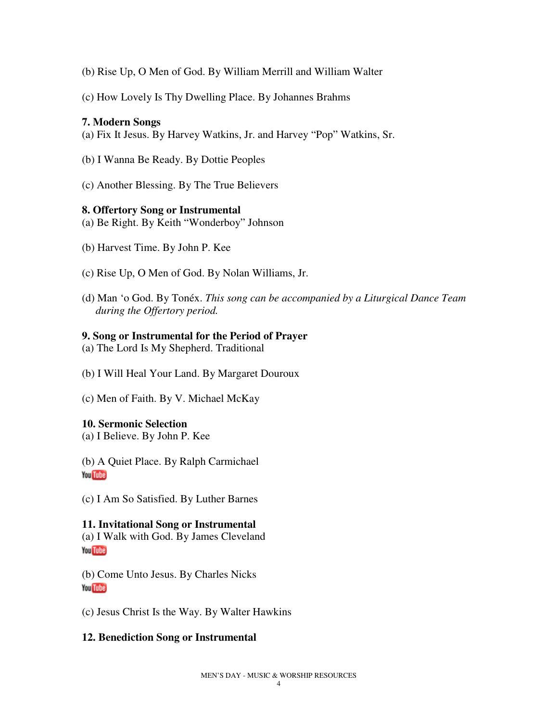- (b) Rise Up, O Men of God. By William Merrill and William Walter
- (c) How Lovely Is Thy Dwelling Place. By Johannes Brahms

#### **7. Modern Songs**

- (a) Fix It Jesus. By Harvey Watkins, Jr. and Harvey "Pop" Watkins, Sr.
- (b) I Wanna Be Ready. By Dottie Peoples
- (c) Another Blessing. By The True Believers

#### **8. Offertory Song or Instrumental**

- (a) Be Right. By Keith "Wonderboy" Johnson
- (b) Harvest Time. By John P. Kee
- (c) Rise Up, O Men of God. By Nolan Williams, Jr.
- (d) Man 'o God. By Tonéx. *This song can be accompanied by a Liturgical Dance Team during the Offertory period.*

#### **9. Song or Instrumental for the Period of Prayer**

- (a) The Lord Is My Shepherd. Traditional
- (b) I Will Heal Your Land. By Margaret Douroux
- (c) Men of Faith. By V. Michael McKay

#### **10. Sermonic Selection**

(a) I Believe. By John P. Kee

(b) A Quiet Place. By Ralph Carmichael You Tube

(c) I Am So Satisfied. By Luther Barnes

#### **11. Invitational Song or Instrumental**

(a) I Walk with God. By James Cleveland You Tube

(b) Come Unto Jesus. By Charles Nicks **You Tube** 

(c) Jesus Christ Is the Way. By Walter Hawkins

## **12. Benediction Song or Instrumental**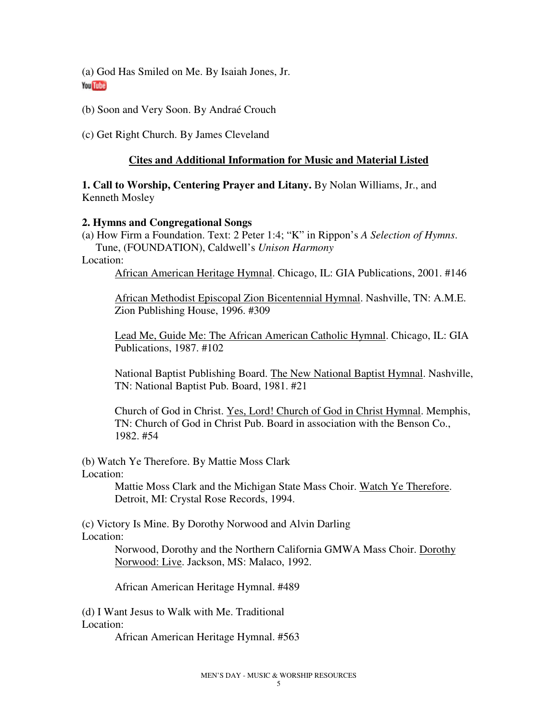(a) God Has Smiled on Me. By Isaiah Jones, Jr. **You Tube** 

(b) Soon and Very Soon. By Andraé Crouch

(c) Get Right Church. By James Cleveland

## **Cites and Additional Information for Music and Material Listed**

**1. Call to Worship, Centering Prayer and Litany.** By Nolan Williams, Jr., and Kenneth Mosley

## **2. Hymns and Congregational Songs**

(a) How Firm a Foundation. Text: 2 Peter 1:4; "K" in Rippon's *A Selection of Hymns*. Tune, (FOUNDATION), Caldwell's *Unison Harmony*

Location:

African American Heritage Hymnal. Chicago, IL: GIA Publications, 2001. #146

African Methodist Episcopal Zion Bicentennial Hymnal. Nashville, TN: A.M.E. Zion Publishing House, 1996. #309

Lead Me, Guide Me: The African American Catholic Hymnal. Chicago, IL: GIA Publications, 1987. #102

National Baptist Publishing Board. The New National Baptist Hymnal. Nashville, TN: National Baptist Pub. Board, 1981. #21

Church of God in Christ. Yes, Lord! Church of God in Christ Hymnal. Memphis, TN: Church of God in Christ Pub. Board in association with the Benson Co., 1982. #54

(b) Watch Ye Therefore. By Mattie Moss Clark Location:

> Mattie Moss Clark and the Michigan State Mass Choir. Watch Ye Therefore. Detroit, MI: Crystal Rose Records, 1994.

(c) Victory Is Mine. By Dorothy Norwood and Alvin Darling Location:

> Norwood, Dorothy and the Northern California GMWA Mass Choir. Dorothy Norwood: Live. Jackson, MS: Malaco, 1992.

African American Heritage Hymnal. #489

(d) I Want Jesus to Walk with Me. Traditional Location:

African American Heritage Hymnal. #563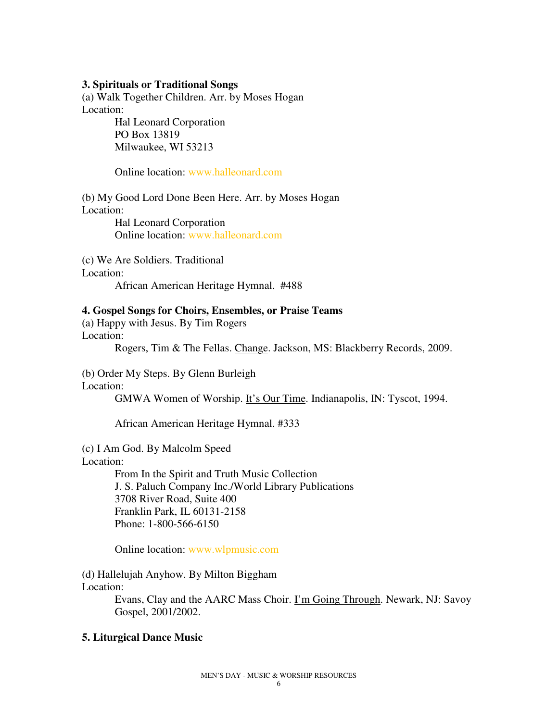#### **3. Spirituals or Traditional Songs**

(a) Walk Together Children. Arr. by Moses Hogan Location:

> Hal Leonard Corporation PO Box 13819 Milwaukee, WI 53213

Online location: www.halleonard.com

(b) My Good Lord Done Been Here. Arr. by Moses Hogan Location: Hal Leonard Corporation Online location: www.halleonard.com

(c) We Are Soldiers. Traditional Location: African American Heritage Hymnal. #488

**4. Gospel Songs for Choirs, Ensembles, or Praise Teams** 

(a) Happy with Jesus. By Tim Rogers Location: Rogers, Tim & The Fellas. Change. Jackson, MS: Blackberry Records, 2009.

(b) Order My Steps. By Glenn Burleigh Location:

GMWA Women of Worship. It's Our Time. Indianapolis, IN: Tyscot, 1994.

African American Heritage Hymnal. #333

(c) I Am God. By Malcolm Speed

Location:

From In the Spirit and Truth Music Collection J. S. Paluch Company Inc./World Library Publications 3708 River Road, Suite 400 Franklin Park, IL 60131-2158 Phone: 1-800-566-6150

Online location: www.wlpmusic.com

(d) Hallelujah Anyhow. By Milton Biggham Location:

> Evans, Clay and the AARC Mass Choir. I'm Going Through. Newark, NJ: Savoy Gospel, 2001/2002.

#### **5. Liturgical Dance Music**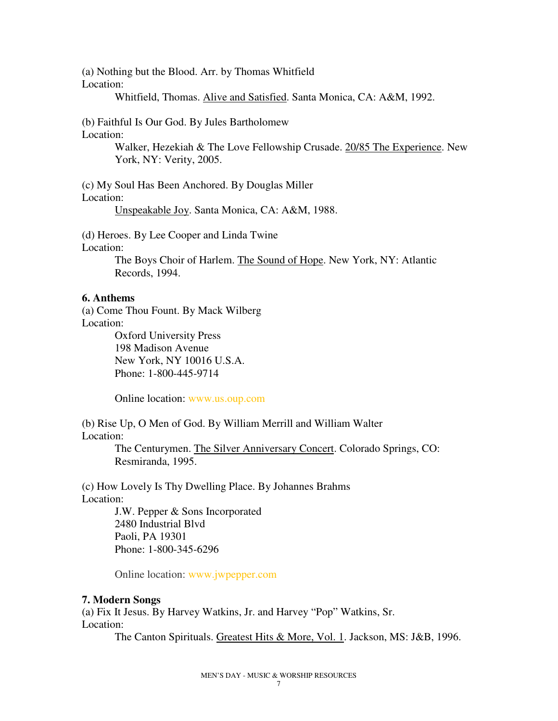(a) Nothing but the Blood. Arr. by Thomas Whitfield Location:

Whitfield, Thomas. Alive and Satisfied. Santa Monica, CA: A&M, 1992.

(b) Faithful Is Our God. By Jules Bartholomew Location:

> Walker, Hezekiah & The Love Fellowship Crusade. 20/85 The Experience. New York, NY: Verity, 2005.

(c) My Soul Has Been Anchored. By Douglas Miller Location:

Unspeakable Joy. Santa Monica, CA: A&M, 1988.

(d) Heroes. By Lee Cooper and Linda Twine

Location:

The Boys Choir of Harlem. The Sound of Hope. New York, NY: Atlantic Records, 1994.

## **6. Anthems**

(a) Come Thou Fount. By Mack Wilberg Location:

Oxford University Press 198 Madison Avenue New York, NY 10016 U.S.A. Phone: 1-800-445-9714

Online location: www.us.oup.com

(b) Rise Up, O Men of God. By William Merrill and William Walter Location:

> The Centurymen. The Silver Anniversary Concert. Colorado Springs, CO: Resmiranda, 1995.

(c) How Lovely Is Thy Dwelling Place. By Johannes Brahms Location:

J.W. Pepper & Sons Incorporated 2480 Industrial Blvd Paoli, PA 19301 Phone: 1-800-345-6296

Online location: www.jwpepper.com

## **7. Modern Songs**

(a) Fix It Jesus. By Harvey Watkins, Jr. and Harvey "Pop" Watkins, Sr. Location:

The Canton Spirituals. Greatest Hits & More, Vol. 1. Jackson, MS: J&B, 1996.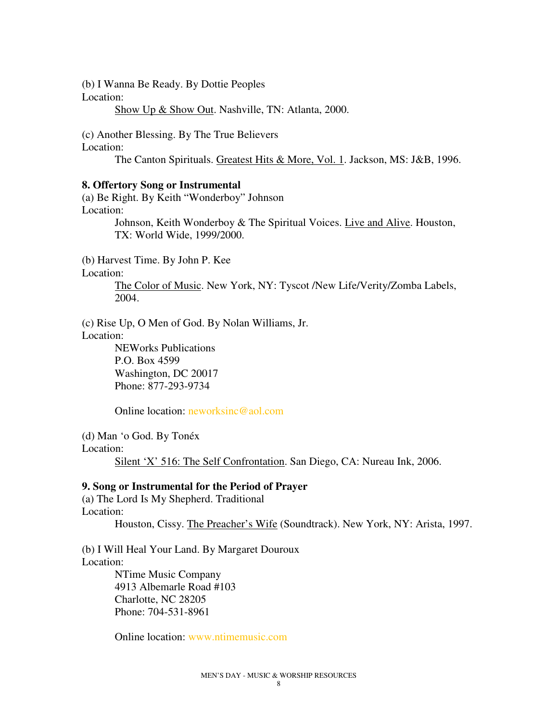(b) I Wanna Be Ready. By Dottie Peoples

Location:

Show Up & Show Out. Nashville, TN: Atlanta, 2000.

(c) Another Blessing. By The True Believers

Location:

The Canton Spirituals. Greatest Hits & More, Vol. 1. Jackson, MS: J&B, 1996.

#### **8. Offertory Song or Instrumental**

(a) Be Right. By Keith "Wonderboy" Johnson Location: Johnson, Keith Wonderboy & The Spiritual Voices. Live and Alive. Houston, TX: World Wide, 1999/2000.

(b) Harvest Time. By John P. Kee

Location:

The Color of Music. New York, NY: Tyscot /New Life/Verity/Zomba Labels, 2004.

(c) Rise Up, O Men of God. By Nolan Williams, Jr.

Location:

NEWorks Publications P.O. Box 4599 Washington, DC 20017 Phone: 877-293-9734

Online location: neworksinc@aol.com

(d) Man 'o God. By Tonéx Location:

Silent 'X' 516: The Self Confrontation. San Diego, CA: Nureau Ink, 2006.

## **9. Song or Instrumental for the Period of Prayer**

(a) The Lord Is My Shepherd. Traditional Location: Houston, Cissy. The Preacher's Wife (Soundtrack). New York, NY: Arista, 1997.

(b) I Will Heal Your Land. By Margaret Douroux Location: NTime Music Company 4913 Albemarle Road #103 Charlotte, NC 28205

Phone: 704-531-8961

Online location: www.ntimemusic.com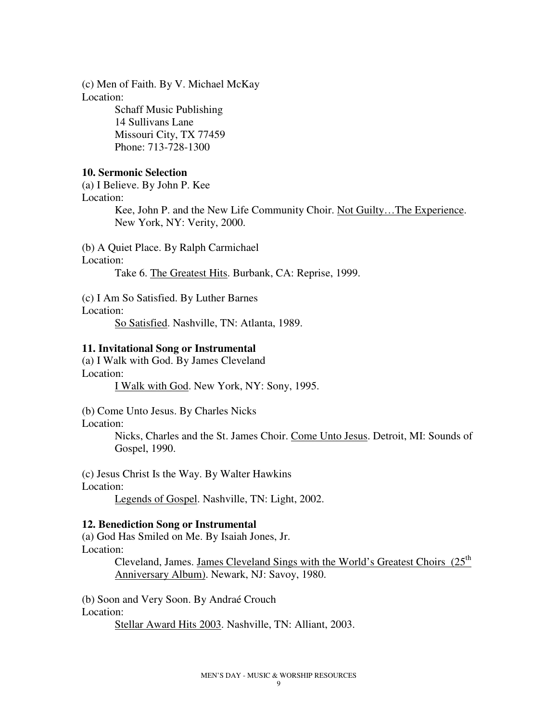(c) Men of Faith. By V. Michael McKay Location:

> Schaff Music Publishing 14 Sullivans Lane Missouri City, TX 77459 Phone: 713-728-1300

## **10. Sermonic Selection**

(a) I Believe. By John P. Kee Location:

> Kee, John P. and the New Life Community Choir. Not Guilty…The Experience. New York, NY: Verity, 2000.

(b) A Quiet Place. By Ralph Carmichael

Location:

Take 6. The Greatest Hits. Burbank, CA: Reprise, 1999.

(c) I Am So Satisfied. By Luther Barnes

Location:

So Satisfied. Nashville, TN: Atlanta, 1989.

#### **11. Invitational Song or Instrumental**

(a) I Walk with God. By James Cleveland Location: I Walk with God. New York, NY: Sony, 1995.

(b) Come Unto Jesus. By Charles Nicks

Location:

Nicks, Charles and the St. James Choir. Come Unto Jesus. Detroit, MI: Sounds of Gospel, 1990.

(c) Jesus Christ Is the Way. By Walter Hawkins Location:

Legends of Gospel. Nashville, TN: Light, 2002.

#### **12. Benediction Song or Instrumental**

(a) God Has Smiled on Me. By Isaiah Jones, Jr. Location:

> Cleveland, James. James Cleveland Sings with the World's Greatest Choirs (25<sup>th</sup>) Anniversary Album). Newark, NJ: Savoy, 1980.

(b) Soon and Very Soon. By Andraé Crouch Location: Stellar Award Hits 2003. Nashville, TN: Alliant, 2003.